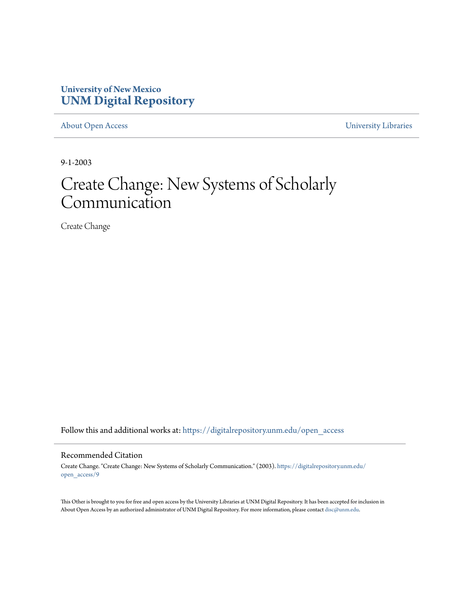#### **University of New Mexico [UNM Digital Repository](https://digitalrepository.unm.edu?utm_source=digitalrepository.unm.edu%2Fopen_access%2F9&utm_medium=PDF&utm_campaign=PDFCoverPages)**

[About Open Access](https://digitalrepository.unm.edu/open_access?utm_source=digitalrepository.unm.edu%2Fopen_access%2F9&utm_medium=PDF&utm_campaign=PDFCoverPages) [University Libraries](https://digitalrepository.unm.edu/libraries?utm_source=digitalrepository.unm.edu%2Fopen_access%2F9&utm_medium=PDF&utm_campaign=PDFCoverPages)

9-1-2003

# Create Change: New Systems of Scholarly Communication

Create Change

Follow this and additional works at: [https://digitalrepository.unm.edu/open\\_access](https://digitalrepository.unm.edu/open_access?utm_source=digitalrepository.unm.edu%2Fopen_access%2F9&utm_medium=PDF&utm_campaign=PDFCoverPages)

#### Recommended Citation

Create Change. "Create Change: New Systems of Scholarly Communication." (2003). [https://digitalrepository.unm.edu/](https://digitalrepository.unm.edu/open_access/9?utm_source=digitalrepository.unm.edu%2Fopen_access%2F9&utm_medium=PDF&utm_campaign=PDFCoverPages) [open\\_access/9](https://digitalrepository.unm.edu/open_access/9?utm_source=digitalrepository.unm.edu%2Fopen_access%2F9&utm_medium=PDF&utm_campaign=PDFCoverPages)

This Other is brought to you for free and open access by the University Libraries at UNM Digital Repository. It has been accepted for inclusion in About Open Access by an authorized administrator of UNM Digital Repository. For more information, please contact [disc@unm.edu.](mailto:disc@unm.edu)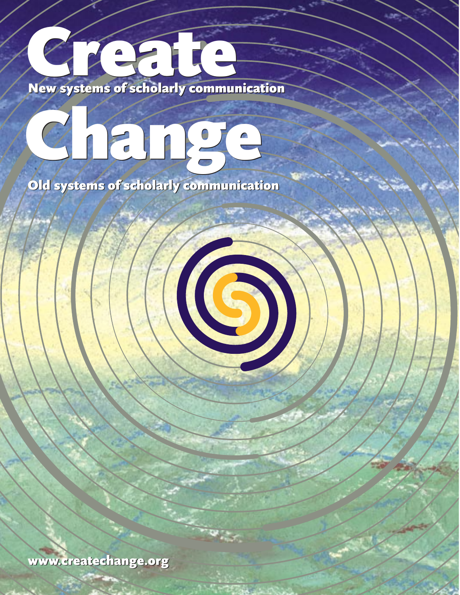# Cr New systems of scholarly communication Cr New systems of scholarly communication eated to the set of scholarly community

# Change Change

Old systems of scholarly communication Old systems of scholarly communication

[www.createchange.org](http://www.createchange.org/) www.createchange.org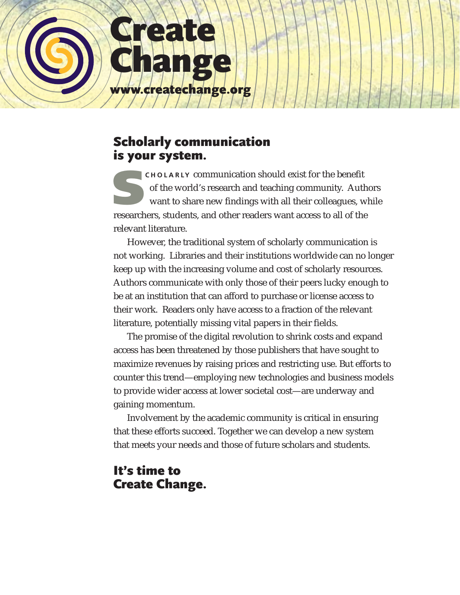

## Scholarly communication is your system.

**SCHOLARLY** communication should exist for the benefit of the world's research and teaching community. Authors want to share new findings with all their colleagues, while researchers, students, and other readers want access to all of the relevant literature.

However, the traditional system of scholarly communication is not working. Libraries and their institutions worldwide can no longer keep up with the increasing volume and cost of scholarly resources. Authors communicate with only those of their peers lucky enough to be at an institution that can afford to purchase or license access to their work. Readers only have access to a fraction of the relevant literature, potentially missing vital papers in their fields.

The promise of the digital revolution to shrink costs and expand access has been threatened by those publishers that have sought to maximize revenues by raising prices and restricting use. But efforts to counter this trend—employing new technologies and business models to provide wider access at lower societal cost—are underway and gaining momentum.

Involvement by the academic community is critical in ensuring that these efforts succeed. Together we can develop a new system that meets your needs and those of future scholars and students.

### It's time to Create Change.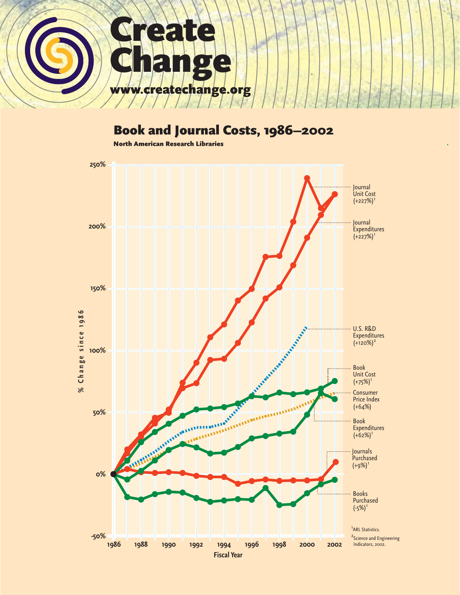

# Book and Journal Costs, 1986–2002

North American Research Libraries

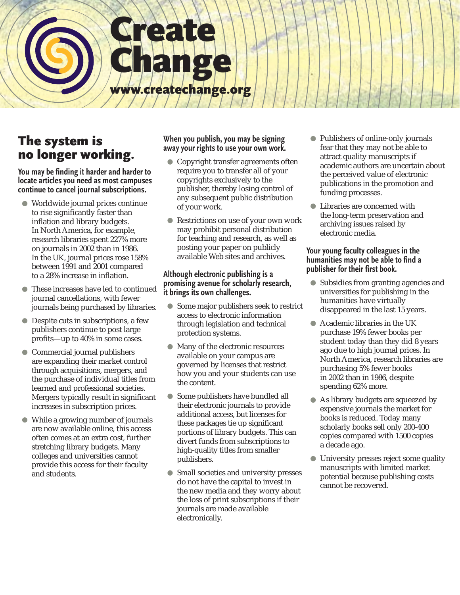

# The system is no longer working.

**You may be finding it harder and harder to locate articles you need as most campuses continue to cancel journal subscriptions.** 

- Worldwide journal prices continue to rise significantly faster than inflation and library budgets. In North America, for example, research libraries spent 227% more on journals in 2002 than in 1986. In the UK, journal prices rose 158% between 1991 and 2001 compared to a 28% increase in inflation.
- $\bullet$ These increases have led to continued journal cancellations, with fewer journals being purchased by libraries.
- Despite cuts in subscriptions, a few publishers continue to post large profits—up to 40% in some cases.
- Commercial journal publishers are expanding their market control through acquisitions, mergers, and the purchase of individual titles from learned and professional societies. Mergers typically result in significant increases in subscription prices.
- $\bullet$ While a growing number of journals are now available online, this access often comes at an extra cost, further stretching library budgets. Many colleges and universities cannot provide this access for their faculty and students.

#### **When you publish, you may be signing away your rights to use your own work.**

- Copyright transfer agreements often require you to transfer all of your copyrights exclusively to the publisher, thereby losing control of any subsequent public distribution of your work.
- Restrictions on use of your own work may prohibit personal distribution for teaching and research, as well as posting your paper on publicly available Web sites and archives.

#### **Although electronic publishing is a promising avenue for scholarly research, it brings its own challenges.**

- Some major publishers seek to restrict access to electronic information through legislation and technical protection systems.
- Many of the electronic resources available on your campus are governed by licenses that restrict how you and your students can use the content.
- $\bullet$ Some publishers have bundled all their electronic journals to provide additional access, but licenses for these packages tie up significant portions of library budgets. This can divert funds from subscriptions to high-quality titles from smaller publishers.
- Small societies and university presses do not have the capital to invest in the new media and they worry about the loss of print subscriptions if their journals are made available electronically.
- Publishers of online-only journals fear that they may not be able to attract quality manuscripts if academic authors are uncertain about the perceived value of electronic publications in the promotion and funding processes.
- Libraries are concerned with the long-term preservation and archiving issues raised by electronic media.

#### **Your young faculty colleagues in the humanities may not be able to find a publisher for their first book.**

- Subsidies from granting agencies and universities for publishing in the humanities have virtually disappeared in the last 15 years.
- Academic libraries in the UK purchase 19% fewer books per student today than they did 8 years ago due to high journal prices. In North America, research libraries are purchasing 5% fewer books in 2002 than in 1986, despite spending 62% more.
- As library budgets are squeezed by expensive journals the market for books is reduced. Today many scholarly books sell only 200-400 copies compared with 1500 copies a decade ago.
- University presses reject some quality  $\bigcirc$ manuscripts with limited market potential because publishing costs cannot be recovered.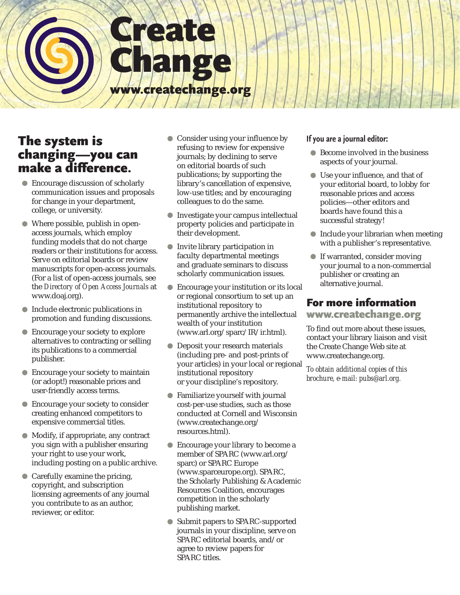# Create Change [www.createchange.org](http://www.createchange.org/)

# The system is changing—you can make a difference.

- Encourage discussion of scholarly communication issues and proposals for change in your department, college, or university.
- Where possible, publish in openaccess journals, which employ funding models that do not charge readers or their institutions for access. Serve on editorial boards or review manuscripts for open-access journals. (For a list of open-access journals, see the *Directory of Open Access Journals* at [www.doaj.org](http://www.doaj.org/)).
- Include electronic publications in promotion and funding discussions.
- Encourage your society to explore alternatives to contracting or selling its publications to a commercial publisher.
- $\bullet$ Encourage your society to maintain (or adopt!) reasonable prices and user-friendly access terms.
- Encourage your society to consider creating enhanced competitors to expensive commercial titles.
- Modify, if appropriate, any contract you sign with a publisher ensuring your right to use your work, including posting on a public archive.
- Carefully examine the pricing, copyright, and subscription licensing agreements of any journal you contribute to as an author, reviewer, or editor.
- Consider using your influence by refusing to review for expensive journals; by declining to serve on editorial boards of such publications; by supporting the library's cancellation of expensive, low-use titles; and by encouraging colleagues to do the same.
- Investigate your campus intellectual property policies and participate in their development.
- $\bigcirc$ Invite library participation in faculty departmental meetings and graduate seminars to discuss scholarly communication issues.
- Encourage your institution or its local or regional consortium to set up an institutional repository to permanently archive the intellectual wealth of your institution ([www.arl.org/sparc/IR/ir.html\)](http://www.arl.org/sparc/IR/ir.html).
- Deposit your research materials (including pre- and post-prints of your articles) in your local or regional institutional repository or your discipline's repository.
- Familiarize yourself with journal cost-per-use studies, such as those conducted at Cornell and Wisconsin ([www.createchange.org/](http://www.createchange.org/resources.html) [resources.html\)](http://www.createchange.org/resources.html).
- Encourage your library to become a member of SPARC [\(www.arl.org/](http://www.arl.org/sparc/) [sparc\)](http://www.arl.org/sparc/) or SPARC Europe [\(www.sparceurope.org\)](http://www.sparceurope.org). SPARC, the Scholarly Publishing & Academic Resources Coalition, encourages competition in the scholarly publishing market.
- Submit papers to SPARC-supported journals in your discipline, serve on SPARC editorial boards, and/or agree to review papers for SPARC titles.

#### **If you are a journal editor:**

- Become involved in the business aspects of your journal.
- Use your influence, and that of your editorial board, to lobby for reasonable prices and access policies—other editors and boards have found this a successful strategy!
- Include your librarian when meeting with a publisher's representative.
- If warranted, consider moving your journal to a non-commercial publisher or creating an alternative journal.

## For more information

#### [www.createchange.org](http://www.createchange.org)

To find out more about these issues, contact your library liaison and visit the Create Change Web site at [www.createchange.org](http://www.createchange.org).

*To obtain additional copies of this brochure, e-mail: [pubs@arl.org.](mailto:pubs@arl.org)*